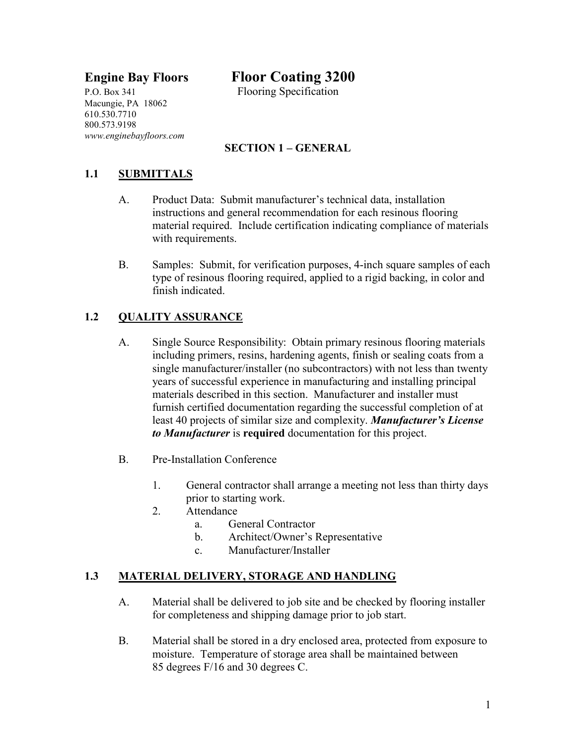P.O. Box 341 Flooring Specification Macungie, PA 18062 610.530.7710 800.573.9198 *www.enginebayfloors.com*

# **Engine Bay Floors Floor Coating 3200**

## **SECTION 1 – GENERAL**

### **1.1 SUBMITTALS**

- A. Product Data: Submit manufacturer's technical data, installation instructions and general recommendation for each resinous flooring material required. Include certification indicating compliance of materials with requirements.
- B. Samples: Submit, for verification purposes, 4-inch square samples of each type of resinous flooring required, applied to a rigid backing, in color and finish indicated.

#### **1.2 QUALITY ASSURANCE**

- A. Single Source Responsibility: Obtain primary resinous flooring materials including primers, resins, hardening agents, finish or sealing coats from a single manufacturer/installer (no subcontractors) with not less than twenty years of successful experience in manufacturing and installing principal materials described in this section. Manufacturer and installer must furnish certified documentation regarding the successful completion of at least 40 projects of similar size and complexity. *Manufacturer's License to Manufacturer* is **required** documentation for this project.
- B. Pre-Installation Conference
	- 1. General contractor shall arrange a meeting not less than thirty days prior to starting work.
	- 2. Attendance
		- a. General Contractor
		- b. Architect/Owner's Representative
		- c. Manufacturer/Installer

#### **1.3 MATERIAL DELIVERY, STORAGE AND HANDLING**

- A. Material shall be delivered to job site and be checked by flooring installer for completeness and shipping damage prior to job start.
- B. Material shall be stored in a dry enclosed area, protected from exposure to moisture. Temperature of storage area shall be maintained between 85 degrees F/16 and 30 degrees C.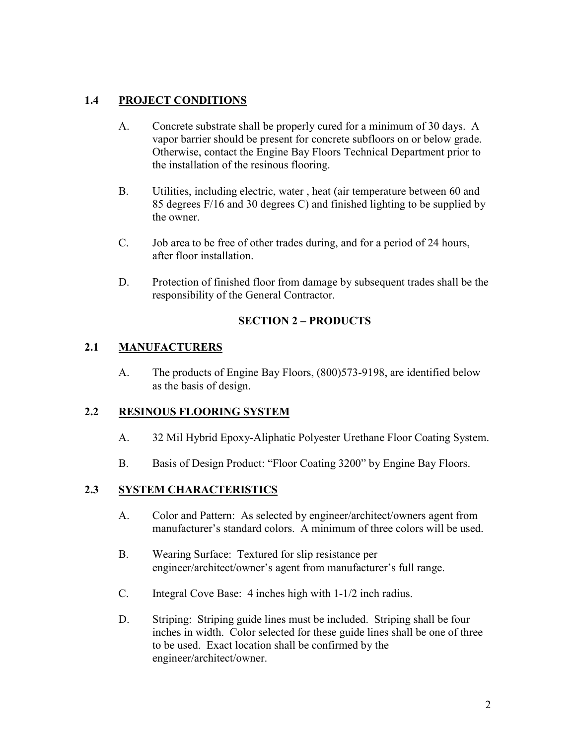### **1.4 PROJECT CONDITIONS**

- A. Concrete substrate shall be properly cured for a minimum of 30 days. A vapor barrier should be present for concrete subfloors on or below grade. Otherwise, contact the Engine Bay Floors Technical Department prior to the installation of the resinous flooring.
- B. Utilities, including electric, water , heat (air temperature between 60 and 85 degrees F/16 and 30 degrees C) and finished lighting to be supplied by the owner.
- C. Job area to be free of other trades during, and for a period of 24 hours, after floor installation.
- D. Protection of finished floor from damage by subsequent trades shall be the responsibility of the General Contractor.

#### **SECTION 2 – PRODUCTS**

#### **2.1 MANUFACTURERS**

A. The products of Engine Bay Floors, (800)573-9198, are identified below as the basis of design.

#### **2.2 RESINOUS FLOORING SYSTEM**

- A. 32 Mil Hybrid Epoxy-Aliphatic Polyester Urethane Floor Coating System.
- B. Basis of Design Product: "Floor Coating 3200" by Engine Bay Floors.

#### **2.3 SYSTEM CHARACTERISTICS**

- A. Color and Pattern: As selected by engineer/architect/owners agent from manufacturer's standard colors. A minimum of three colors will be used.
- B. Wearing Surface: Textured for slip resistance per engineer/architect/owner's agent from manufacturer's full range.
- C. Integral Cove Base: 4 inches high with 1-1/2 inch radius.
- D. Striping: Striping guide lines must be included. Striping shall be four inches in width. Color selected for these guide lines shall be one of three to be used. Exact location shall be confirmed by the engineer/architect/owner.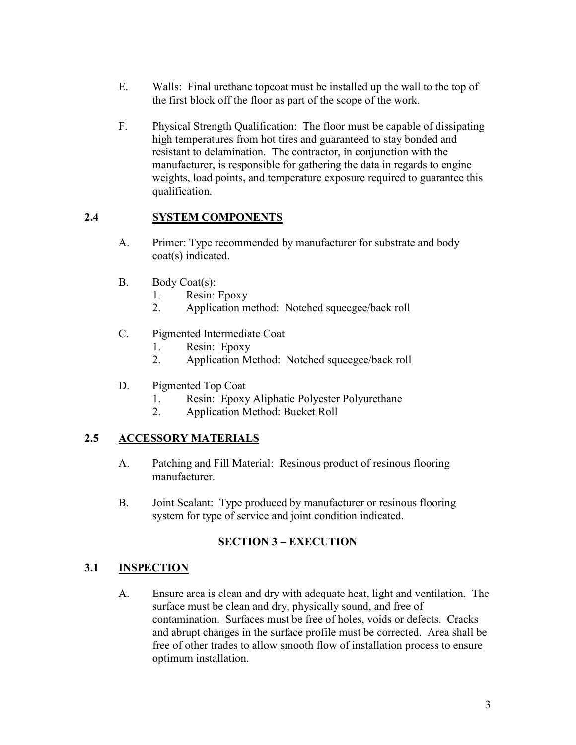- E. Walls: Final urethane topcoat must be installed up the wall to the top of the first block off the floor as part of the scope of the work.
- F. Physical Strength Qualification: The floor must be capable of dissipating high temperatures from hot tires and guaranteed to stay bonded and resistant to delamination. The contractor, in conjunction with the manufacturer, is responsible for gathering the data in regards to engine weights, load points, and temperature exposure required to guarantee this qualification.

#### **2.4 SYSTEM COMPONENTS**

- A. Primer: Type recommended by manufacturer for substrate and body coat(s) indicated.
- B. Body Coat(s):
	- 1. Resin: Epoxy
	- 2. Application method: Notched squeegee/back roll
- C. Pigmented Intermediate Coat
	- 1. Resin: Epoxy
	- 2. Application Method: Notched squeegee/back roll
- D. Pigmented Top Coat
	- 1. Resin: Epoxy Aliphatic Polyester Polyurethane
	- 2. Application Method: Bucket Roll

### **2.5 ACCESSORY MATERIALS**

- A. Patching and Fill Material: Resinous product of resinous flooring manufacturer.
- B. Joint Sealant: Type produced by manufacturer or resinous flooring system for type of service and joint condition indicated.

### **SECTION 3 – EXECUTION**

#### **3.1 INSPECTION**

A. Ensure area is clean and dry with adequate heat, light and ventilation. The surface must be clean and dry, physically sound, and free of contamination. Surfaces must be free of holes, voids or defects. Cracks and abrupt changes in the surface profile must be corrected. Area shall be free of other trades to allow smooth flow of installation process to ensure optimum installation.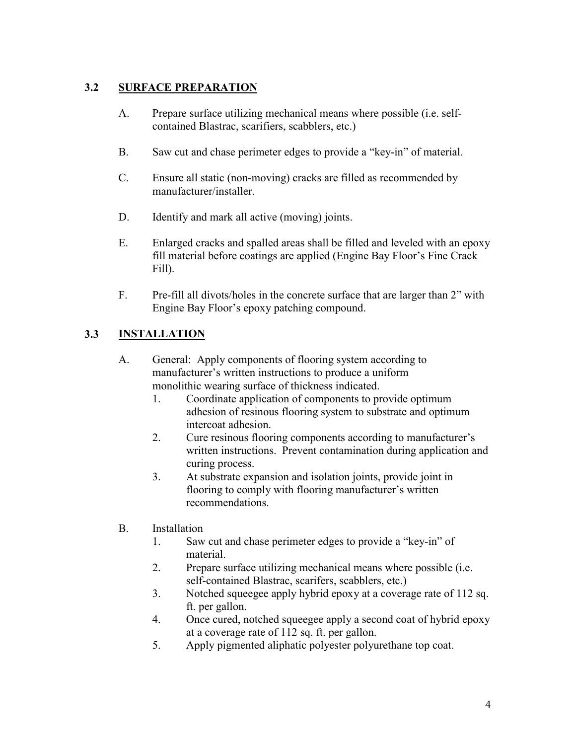## **3.2 SURFACE PREPARATION**

- A. Prepare surface utilizing mechanical means where possible (i.e. selfcontained Blastrac, scarifiers, scabblers, etc.)
- B. Saw cut and chase perimeter edges to provide a "key-in" of material.
- C. Ensure all static (non-moving) cracks are filled as recommended by manufacturer/installer.
- D. Identify and mark all active (moving) joints.
- E. Enlarged cracks and spalled areas shall be filled and leveled with an epoxy fill material before coatings are applied (Engine Bay Floor's Fine Crack Fill).
- F. Pre-fill all divots/holes in the concrete surface that are larger than 2" with Engine Bay Floor's epoxy patching compound.

#### **3.3 INSTALLATION**

- A. General: Apply components of flooring system according to manufacturer's written instructions to produce a uniform monolithic wearing surface of thickness indicated.
	- 1. Coordinate application of components to provide optimum adhesion of resinous flooring system to substrate and optimum intercoat adhesion.
	- 2. Cure resinous flooring components according to manufacturer's written instructions. Prevent contamination during application and curing process.
	- 3. At substrate expansion and isolation joints, provide joint in flooring to comply with flooring manufacturer's written recommendations.
- B. Installation
	- 1. Saw cut and chase perimeter edges to provide a "key-in" of material.
	- 2. Prepare surface utilizing mechanical means where possible (i.e. self-contained Blastrac, scarifers, scabblers, etc.)
	- 3. Notched squeegee apply hybrid epoxy at a coverage rate of 112 sq. ft. per gallon.
	- 4. Once cured, notched squeegee apply a second coat of hybrid epoxy at a coverage rate of 112 sq. ft. per gallon.
	- 5. Apply pigmented aliphatic polyester polyurethane top coat.